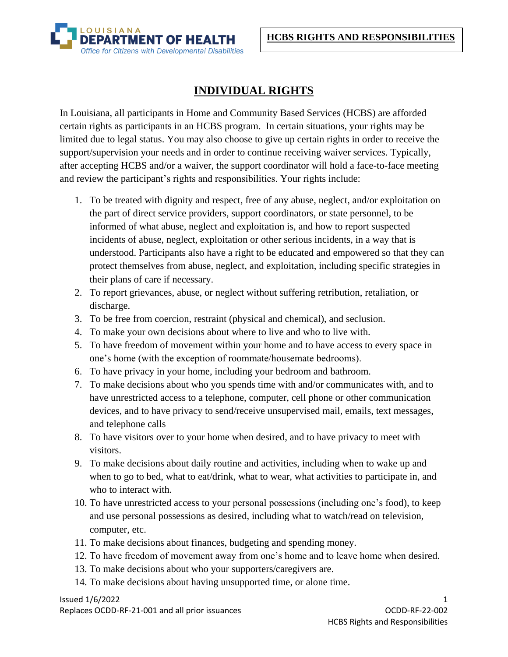

## **INDIVIDUAL RIGHTS**

In Louisiana, all participants in Home and Community Based Services (HCBS) are afforded certain rights as participants in an HCBS program. In certain situations, your rights may be limited due to legal status. You may also choose to give up certain rights in order to receive the support/supervision your needs and in order to continue receiving waiver services. Typically, after accepting HCBS and/or a waiver, the support coordinator will hold a face-to-face meeting and review the participant's rights and responsibilities. Your rights include:

- 1. To be treated with dignity and respect, free of any abuse, neglect, and/or exploitation on the part of direct service providers, support coordinators, or state personnel, to be informed of what abuse, neglect and exploitation is, and how to report suspected incidents of abuse, neglect, exploitation or other serious incidents, in a way that is understood. Participants also have a right to be educated and empowered so that they can protect themselves from abuse, neglect, and exploitation, including specific strategies in their plans of care if necessary.
- 2. To report grievances, abuse, or neglect without suffering retribution, retaliation, or discharge.
- 3. To be free from coercion, restraint (physical and chemical), and seclusion.
- 4. To make your own decisions about where to live and who to live with.
- 5. To have freedom of movement within your home and to have access to every space in one's home (with the exception of roommate/housemate bedrooms).
- 6. To have privacy in your home, including your bedroom and bathroom.
- 7. To make decisions about who you spends time with and/or communicates with, and to have unrestricted access to a telephone, computer, cell phone or other communication devices, and to have privacy to send/receive unsupervised mail, emails, text messages, and telephone calls
- 8. To have visitors over to your home when desired, and to have privacy to meet with visitors.
- 9. To make decisions about daily routine and activities, including when to wake up and when to go to bed, what to eat/drink, what to wear, what activities to participate in, and who to interact with.
- 10. To have unrestricted access to your personal possessions (including one's food), to keep and use personal possessions as desired, including what to watch/read on television, computer, etc.
- 11. To make decisions about finances, budgeting and spending money.
- 12. To have freedom of movement away from one's home and to leave home when desired.
- 13. To make decisions about who your supporters/caregivers are.
- 14. To make decisions about having unsupported time, or alone time.

 $\frac{1}{2}$  Issued  $\frac{1}{6}/\frac{2022}{2}$ 

Replaces OCDD-RF-21-001 and all prior issuances OCDD-RF-22-002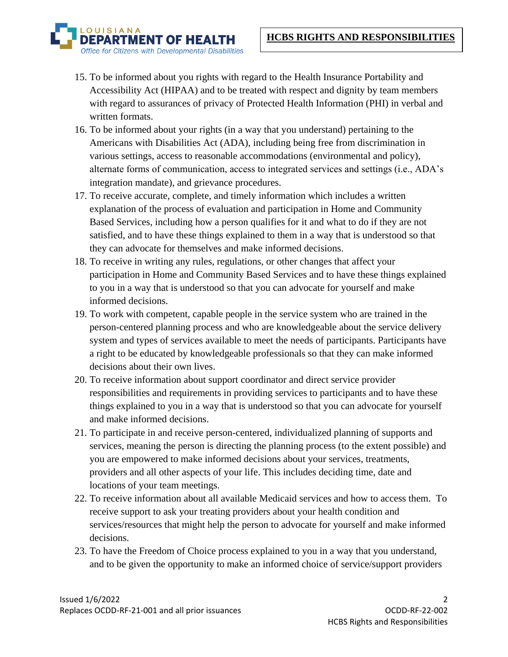

- 15. To be informed about you rights with regard to the Health Insurance Portability and Accessibility Act (HIPAA) and to be treated with respect and dignity by team members with regard to assurances of privacy of Protected Health Information (PHI) in verbal and written formats.
- 16. To be informed about your rights (in a way that you understand) pertaining to the Americans with Disabilities Act (ADA), including being free from discrimination in various settings, access to reasonable accommodations (environmental and policy), alternate forms of communication, access to integrated services and settings (i.e., ADA's integration mandate), and grievance procedures.
- 17. To receive accurate, complete, and timely information which includes a written explanation of the process of evaluation and participation in Home and Community Based Services, including how a person qualifies for it and what to do if they are not satisfied, and to have these things explained to them in a way that is understood so that they can advocate for themselves and make informed decisions.
- 18. To receive in writing any rules, regulations, or other changes that affect your participation in Home and Community Based Services and to have these things explained to you in a way that is understood so that you can advocate for yourself and make informed decisions.
- 19. To work with competent, capable people in the service system who are trained in the person-centered planning process and who are knowledgeable about the service delivery system and types of services available to meet the needs of participants. Participants have a right to be educated by knowledgeable professionals so that they can make informed decisions about their own lives.
- 20. To receive information about support coordinator and direct service provider responsibilities and requirements in providing services to participants and to have these things explained to you in a way that is understood so that you can advocate for yourself and make informed decisions.
- 21. To participate in and receive person-centered, individualized planning of supports and services, meaning the person is directing the planning process (to the extent possible) and you are empowered to make informed decisions about your services, treatments, providers and all other aspects of your life. This includes deciding time, date and locations of your team meetings.
- 22. To receive information about all available Medicaid services and how to access them. To receive support to ask your treating providers about your health condition and services/resources that might help the person to advocate for yourself and make informed decisions.
- 23. To have the Freedom of Choice process explained to you in a way that you understand, and to be given the opportunity to make an informed choice of service/support providers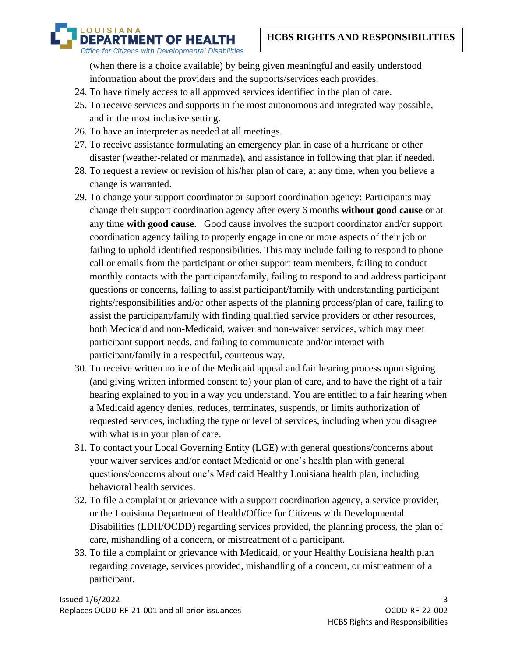## **HCBS RIGHTS AND RESPONSIBILITIES**

**OUISIANA RTMENT OF HEALTH** Office for Citizens with Developmental Disabilities

> (when there is a choice available) by being given meaningful and easily understood information about the providers and the supports/services each provides.

- 24. To have timely access to all approved services identified in the plan of care.
- 25. To receive services and supports in the most autonomous and integrated way possible, and in the most inclusive setting.
- 26. To have an interpreter as needed at all meetings.
- 27. To receive assistance formulating an emergency plan in case of a hurricane or other disaster (weather-related or manmade), and assistance in following that plan if needed.
- 28. To request a review or revision of his/her plan of care, at any time, when you believe a change is warranted.
- 29. To change your support coordinator or support coordination agency: Participants may change their support coordination agency after every 6 months **without good cause** or at any time **with good cause**. Good cause involves the support coordinator and/or support coordination agency failing to properly engage in one or more aspects of their job or failing to uphold identified responsibilities. This may include failing to respond to phone call or emails from the participant or other support team members, failing to conduct monthly contacts with the participant/family, failing to respond to and address participant questions or concerns, failing to assist participant/family with understanding participant rights/responsibilities and/or other aspects of the planning process/plan of care, failing to assist the participant/family with finding qualified service providers or other resources, both Medicaid and non-Medicaid, waiver and non-waiver services, which may meet participant support needs, and failing to communicate and/or interact with participant/family in a respectful, courteous way.
- 30. To receive written notice of the Medicaid appeal and fair hearing process upon signing (and giving written informed consent to) your plan of care, and to have the right of a fair hearing explained to you in a way you understand. You are entitled to a fair hearing when a Medicaid agency denies, reduces, terminates, suspends, or limits authorization of requested services, including the type or level of services, including when you disagree with what is in your plan of care.
- 31. To contact your Local Governing Entity (LGE) with general questions/concerns about your waiver services and/or contact Medicaid or one's health plan with general questions/concerns about one's Medicaid Healthy Louisiana health plan, including behavioral health services.
- 32. To file a complaint or grievance with a support coordination agency, a service provider, or the Louisiana Department of Health/Office for Citizens with Developmental Disabilities (LDH/OCDD) regarding services provided, the planning process, the plan of care, mishandling of a concern, or mistreatment of a participant.
- 33. To file a complaint or grievance with Medicaid, or your Healthy Louisiana health plan regarding coverage, services provided, mishandling of a concern, or mistreatment of a participant.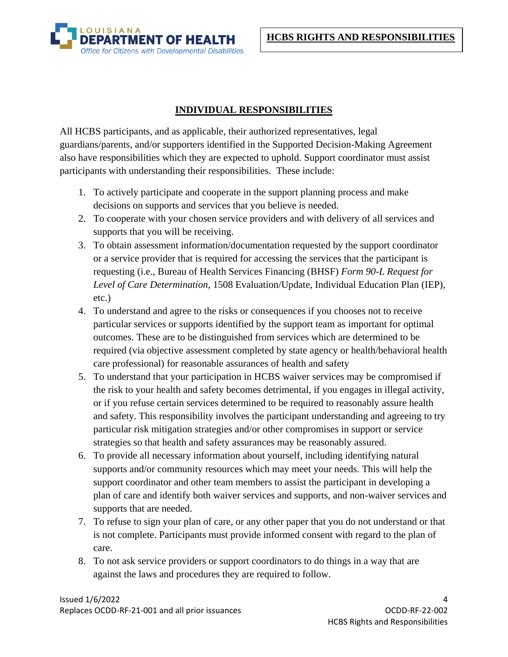**HCBS RIGHTS AND RESPONSIBILITIES**



## **INDIVIDUAL RESPONSIBILITIES**

All HCBS participants, and as applicable, their authorized representatives, legal guardians/parents, and/or supporters identified in the Supported Decision-Making Agreement also have responsibilities which they are expected to uphold. Support coordinator must assist participants with understanding their responsibilities. These include:

- 1. To actively participate and cooperate in the support planning process and make decisions on supports and services that you believe is needed.
- 2. To cooperate with your chosen service providers and with delivery of all services and supports that you will be receiving.
- 3. To obtain assessment information/documentation requested by the support coordinator or a service provider that is required for accessing the services that the participant is requesting (i.e., Bureau of Health Services Financing (BHSF) *Form 90-L Request for Level of Care Determination*, 1508 Evaluation/Update, Individual Education Plan (IEP), etc.)
- 4. To understand and agree to the risks or consequences if you chooses not to receive particular services or supports identified by the support team as important for optimal outcomes. These are to be distinguished from services which are determined to be required (via objective assessment completed by state agency or health/behavioral health care professional) for reasonable assurances of health and safety
- 5. To understand that your participation in HCBS waiver services may be compromised if the risk to your health and safety becomes detrimental, if you engages in illegal activity, or if you refuse certain services determined to be required to reasonably assure health and safety. This responsibility involves the participant understanding and agreeing to try particular risk mitigation strategies and/or other compromises in support or service strategies so that health and safety assurances may be reasonably assured.
- 6. To provide all necessary information about yourself, including identifying natural supports and/or community resources which may meet your needs. This will help the support coordinator and other team members to assist the participant in developing a plan of care and identify both waiver services and supports, and non-waiver services and supports that are needed.
- 7. To refuse to sign your plan of care, or any other paper that you do not understand or that is not complete. Participants must provide informed consent with regard to the plan of care.
- 8. To not ask service providers or support coordinators to do things in a way that are against the laws and procedures they are required to follow.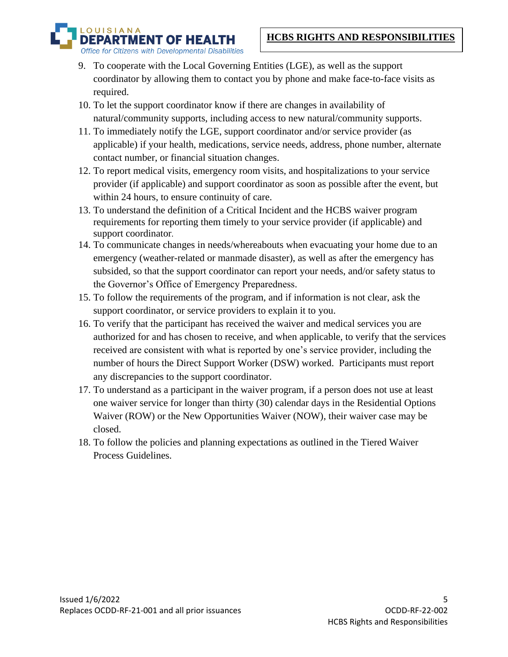OUISIANA **MENT OF HEALTH** Office for Citizens with Developmental Disabilities

- 9. To cooperate with the Local Governing Entities (LGE), as well as the support coordinator by allowing them to contact you by phone and make face-to-face visits as required.
- 10. To let the support coordinator know if there are changes in availability of natural/community supports, including access to new natural/community supports.
- 11. To immediately notify the LGE, support coordinator and/or service provider (as applicable) if your health, medications, service needs, address, phone number, alternate contact number, or financial situation changes.
- 12. To report medical visits, emergency room visits, and hospitalizations to your service provider (if applicable) and support coordinator as soon as possible after the event, but within 24 hours, to ensure continuity of care.
- 13. To understand the definition of a Critical Incident and the HCBS waiver program requirements for reporting them timely to your service provider (if applicable) and support coordinator.
- 14. To communicate changes in needs/whereabouts when evacuating your home due to an emergency (weather-related or manmade disaster), as well as after the emergency has subsided, so that the support coordinator can report your needs, and/or safety status to the Governor's Office of Emergency Preparedness.
- 15. To follow the requirements of the program, and if information is not clear, ask the support coordinator, or service providers to explain it to you.
- 16. To verify that the participant has received the waiver and medical services you are authorized for and has chosen to receive, and when applicable, to verify that the services received are consistent with what is reported by one's service provider, including the number of hours the Direct Support Worker (DSW) worked. Participants must report any discrepancies to the support coordinator.
- 17. To understand as a participant in the waiver program, if a person does not use at least one waiver service for longer than thirty (30) calendar days in the Residential Options Waiver (ROW) or the New Opportunities Waiver (NOW), their waiver case may be closed.
- 18. To follow the policies and planning expectations as outlined in the Tiered Waiver Process Guidelines.